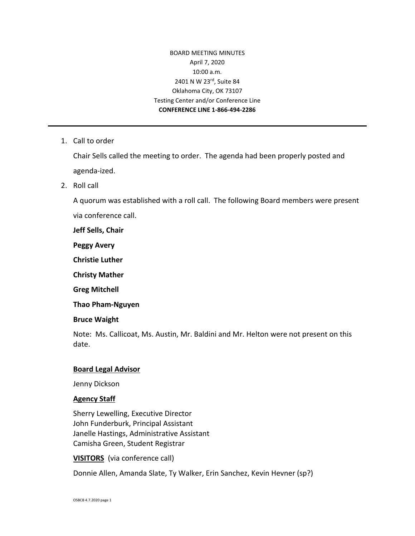# BOARD MEETING MINUTES April 7, 2020 10:00 a.m. 2401 N W 23rd, Suite 84 Oklahoma City, OK 73107 Testing Center and/or Conference Line **CONFERENCE LINE 1-866-494-2286**

1. Call to order

Chair Sells called the meeting to order. The agenda had been properly posted and agenda-ized.

2. Roll call

A quorum was established with a roll call. The following Board members were present via conference call.

**Jeff Sells, Chair**

**Peggy Avery** 

**Christie Luther** 

**Christy Mather** 

**Greg Mitchell** 

**Thao Pham-Nguyen**

#### **Bruce Waight**

Note: Ms. Callicoat, Ms. Austin, Mr. Baldini and Mr. Helton were not present on this date.

#### **Board Legal Advisor**

Jenny Dickson

#### **Agency Staff**

Sherry Lewelling, Executive Director John Funderburk, Principal Assistant Janelle Hastings, Administrative Assistant Camisha Green, Student Registrar

**VISITORS** (via conference call)

Donnie Allen, Amanda Slate, Ty Walker, Erin Sanchez, Kevin Hevner (sp?)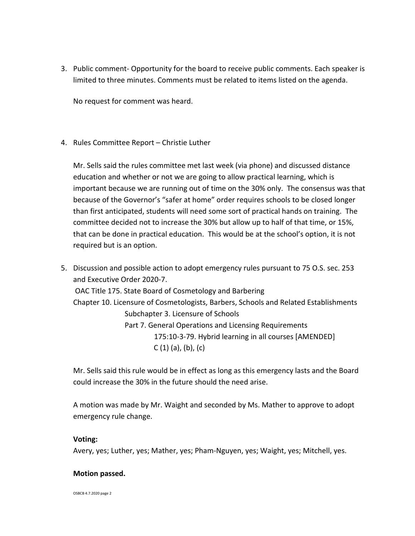3. Public comment- Opportunity for the board to receive public comments. Each speaker is limited to three minutes. Comments must be related to items listed on the agenda.

No request for comment was heard.

4. Rules Committee Report – Christie Luther

Mr. Sells said the rules committee met last week (via phone) and discussed distance education and whether or not we are going to allow practical learning, which is important because we are running out of time on the 30% only. The consensus was that because of the Governor's "safer at home" order requires schools to be closed longer than first anticipated, students will need some sort of practical hands on training. The committee decided not to increase the 30% but allow up to half of that time, or 15%, that can be done in practical education. This would be at the school's option, it is not required but is an option.

5. Discussion and possible action to adopt emergency rules pursuant to 75 O.S. sec. 253 and Executive Order 2020-7. OAC Title 175. State Board of Cosmetology and Barbering Chapter 10. Licensure of Cosmetologists, Barbers, Schools and Related Establishments Subchapter 3. Licensure of Schools Part 7. General Operations and Licensing Requirements 175:10-3-79. Hybrid learning in all courses [AMENDED] C  $(1)$   $(a)$ ,  $(b)$ ,  $(c)$ 

Mr. Sells said this rule would be in effect as long as this emergency lasts and the Board could increase the 30% in the future should the need arise.

A motion was made by Mr. Waight and seconded by Ms. Mather to approve to adopt emergency rule change.

#### **Voting:**

Avery, yes; Luther, yes; Mather, yes; Pham-Nguyen, yes; Waight, yes; Mitchell, yes.

#### **Motion passed.**

OSBCB 4.7.2020 page 2